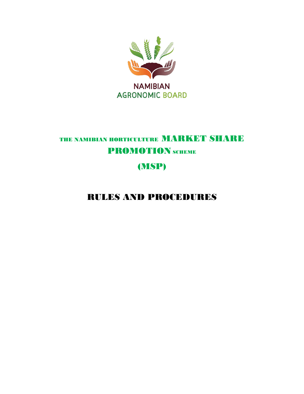

# THE NAMIBIAN HORTICULTURE MARKET SHARE PROMOTION SCHEME

# (MSP)

RULES AND PROCEDURES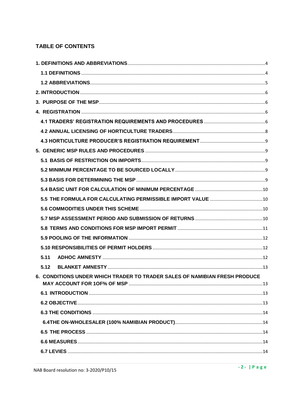# **TABLE OF CONTENTS**

| 5.11                                                                       |  |
|----------------------------------------------------------------------------|--|
| 5.12                                                                       |  |
| 6. CONDITIONS UNDER WHICH TRADER TO TRADER SALES OF NAMIBIAN FRESH PRODUCE |  |
|                                                                            |  |
|                                                                            |  |
|                                                                            |  |
|                                                                            |  |
|                                                                            |  |
|                                                                            |  |
|                                                                            |  |
|                                                                            |  |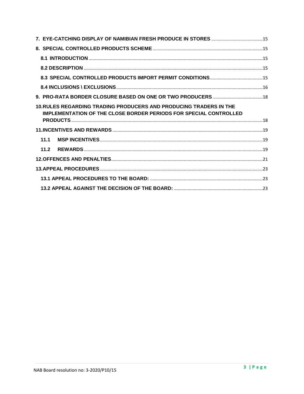| 10.RULES REGARDING TRADING PRODUCERS AND PRODUCING TRADERS IN THE<br>IMPLEMENTATION OF THE CLOSE BORDER PERIODS FOR SPECIAL CONTROLLED |  |
|----------------------------------------------------------------------------------------------------------------------------------------|--|
|                                                                                                                                        |  |
|                                                                                                                                        |  |
|                                                                                                                                        |  |
| 11.1                                                                                                                                   |  |
| 11.2                                                                                                                                   |  |
|                                                                                                                                        |  |
|                                                                                                                                        |  |
|                                                                                                                                        |  |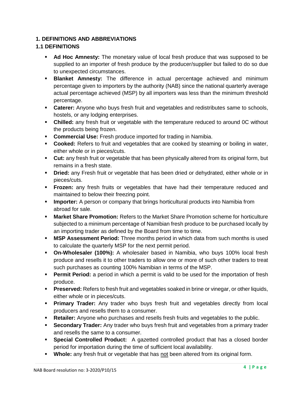## <span id="page-3-0"></span>**1. DEFINITIONS AND ABBREVIATIONS**

## <span id="page-3-1"></span>**1.1 DEFINITIONS**

- **EXED Ad Hoc Amnesty:** The monetary value of local fresh produce that was supposed to be supplied to an importer of fresh produce by the producer/supplier but failed to do so due to unexpected circumstances.
- **Blanket Amnesty:** The difference in actual percentage achieved and minimum percentage given to importers by the authority (NAB) since the national quarterly average actual percentage achieved (MSP) by all importers was less than the minimum threshold percentage.
- **EXECT Anyone who buys fresh fruit and vegetables and redistributes same to schools,** hostels, or any lodging enterprises.
- **Chilled:** any fresh fruit or vegetable with the temperature reduced to around 0C without the products being frozen.
- **Commercial Use:** Fresh produce imported for trading in Namibia.
- **Cooked:** Refers to fruit and vegetables that are cooked by steaming or boiling in water, either whole or in pieces/cuts.
- **Cut:** any fresh fruit or vegetable that has been physically altered from its original form, but remains in a fresh state.
- **Dried:** any Fresh fruit or vegetable that has been dried or dehydrated, either whole or in pieces/cuts.
- **Frozen:** any fresh fruits or vegetables that have had their temperature reduced and maintained to below their freezing point.
- **EXED Importer:** A person or company that brings horticultural products into Namibia from abroad for sale.
- **Market Share Promotion:** Refers to the Market Share Promotion scheme for horticulture subjected to a minimum percentage of Namibian fresh produce to be purchased locally by an importing trader as defined by the Board from time to time.
- **MSP Assessment Period:** Three months period in which data from such months is used to calculate the quarterly MSP for the next permit period.
- **On-Wholesaler (100%):** A wholesaler based in Namibia, who buys 100% local fresh produce and resells it to other traders to allow one or more of such other traders to treat such purchases as counting 100% Namibian in terms of the MSP.
- **Permit Period:** a period in which a permit is valid to be used for the importation of fresh produce.
- **Preserved:** Refers to fresh fruit and vegetables soaked in brine or vinegar, or other liquids, either whole or in pieces/cuts.
- **Primary Trader:** Any trader who buys fresh fruit and vegetables directly from local producers and resells them to a consumer.
- **Retailer:** Anyone who purchases and resells fresh fruits and vegetables to the public.
- **EXECONDARY Trader:** Any trader who buys fresh fruit and vegetables from a primary trader and resells the same to a consumer.
- **Special Controlled Product:** A gazetted controlled product that has a closed border period for importation during the time of sufficient local availability.
- **Whole:** any fresh fruit or vegetable that has not been altered from its original form.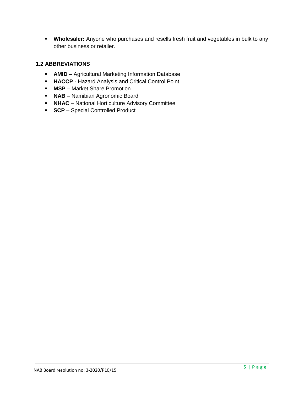▪ **Wholesaler:** Anyone who purchases and resells fresh fruit and vegetables in bulk to any other business or retailer.

#### <span id="page-4-0"></span>**1.2 ABBREVIATIONS**

- **AMID** Agricultural Marketing Information Database
- **HACCP** Hazard Analysis and Critical Control Point
- **MSP** Market Share Promotion
- **NAB** Namibian Agronomic Board
- **NHAC** National Horticulture Advisory Committee
- **SCP** Special Controlled Product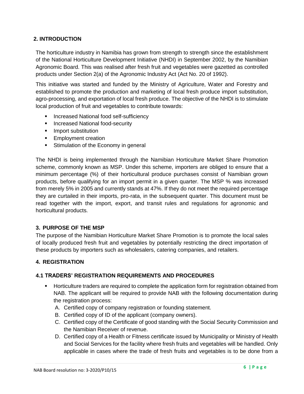#### <span id="page-5-0"></span>**2. INTRODUCTION**

The horticulture industry in Namibia has grown from strength to strength since the establishment of the National Horticulture Development Initiative (NHDI) in September 2002, by the Namibian Agronomic Board. This was realised after fresh fruit and vegetables were gazetted as controlled products under Section 2(a) of the Agronomic Industry Act (Act No. 20 of 1992).

This initiative was started and funded by the Ministry of Agriculture, Water and Forestry and established to promote the production and marketing of local fresh produce import substitution, agro-processing, and exportation of local fresh produce. The objective of the NHDI is to stimulate local production of fruit and vegetables to contribute towards:

- Increased National food self-sufficiency
- **■** Increased National food-security
- **■** Import substitution
- **Employment creation**
- Stimulation of the Economy in general

The NHDI is being implemented through the Namibian Horticulture Market Share Promotion scheme, commonly known as MSP. Under this scheme, importers are obliged to ensure that a minimum percentage (%) of their horticultural produce purchases consist of Namibian grown products, before qualifying for an import permit in a given quarter. The MSP % was increased from merely 5% in 2005 and currently stands at 47%. If they do not meet the required percentage they are curtailed in their imports, pro-rata, in the subsequent quarter. This document must be read together with the import, export, and transit rules and regulations for agronomic and horticultural products.

#### <span id="page-5-1"></span>**3. PURPOSE OF THE MSP**

The purpose of the Namibian Horticulture Market Share Promotion is to promote the local sales of locally produced fresh fruit and vegetables by potentially restricting the direct importation of these products by importers such as wholesalers, catering companies, and retailers.

#### <span id="page-5-2"></span>**4. REGISTRATION**

#### <span id="page-5-3"></span>**4.1 TRADERS' REGISTRATION REQUIREMENTS AND PROCEDURES**

- Horticulture traders are required to complete the application form for registration obtained from NAB. The applicant will be required to provide NAB with the following documentation during the registration process:
	- A. Certified copy of company registration or founding statement.
	- B. Certified copy of ID of the applicant (company owners).
	- C. Certified copy of the Certificate of good standing with the Social Security Commission and the Namibian Receiver of revenue.
	- D. Certified copy of a Health or Fitness certificate issued by Municipality or Ministry of Health and Social Services for the facility where fresh fruits and vegetables will be handled. Only applicable in cases where the trade of fresh fruits and vegetables is to be done from a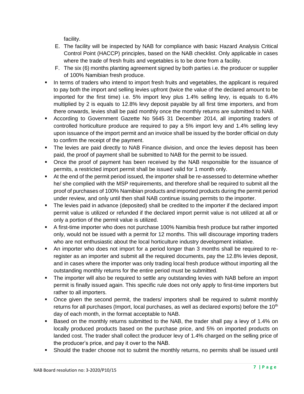facility.

- E. The facility will be inspected by NAB for compliance with basic Hazard Analysis Critical Control Point (HACCP) principles, based on the NAB checklist. Only applicable in cases where the trade of fresh fruits and vegetables is to be done from a facility.
- F. The six (6) months planting agreement signed by both parties i.e. the producer or supplier of 100% Namibian fresh produce.
- **.** In terms of traders who intend to import fresh fruits and vegetables, the applicant is required to pay both the import and selling levies upfront (twice the value of the declared amount to be imported for the first time) i.e. 5% import levy plus 1.4% selling levy, is equals to 6.4% multiplied by 2 is equals to 12.8% levy deposit payable by all first time importers, and from there onwards, levies shall be paid monthly once the monthly returns are submitted to NAB.
- According to Government Gazette No 5645 31 December 2014, all importing traders of controlled horticulture produce are required to pay a 5% import levy and 1.4% selling levy upon issuance of the import permit and an invoice shall be issued by the border official on duty to confirm the receipt of the payment.
- **The levies are paid directly to NAB Finance division, and once the levies deposit has been** paid, the proof of payment shall be submitted to NAB for the permit to be issued.
- **•** Once the proof of payment has been received by the NAB responsible for the issuance of permits, a restricted import permit shall be issued valid for 1 month only.
- At the end of the permit period issued, the importer shall be re-assessed to determine whether he/ she complied with the MSP requirements, and therefore shall be required to submit all the proof of purchases of 100% Namibian products and imported products during the permit period under review, and only until then shall NAB continue issuing permits to the importer.
- The levies paid in advance (deposited) shall be credited to the importer if the declared import permit value is utilized or refunded if the declared import permit value is not utilized at all or only a portion of the permit value is utilized.
- **•** A first-time importer who does not purchase 100% Namibia fresh produce but rather imported only, would not be issued with a permit for 12 months. This will discourage importing traders who are not enthusiastic about the local horticulture industry development initiative.
- An importer who does not import for a period longer than 3 months shall be required to reregister as an importer and submit all the required documents, pay the 12.8% levies deposit, and in cases where the importer was only trading local fresh produce without importing all the outstanding monthly returns for the entire period must be submitted.
- **•** The importer will also be required to settle any outstanding levies with NAB before an import permit is finally issued again. This specific rule does not only apply to first-time importers but rather to all importers.
- Once given the second permit, the traders/ importers shall be required to submit monthly returns for all purchases (Import, local purchases, as well as declared exports) before the  $10<sup>th</sup>$ day of each month, in the format acceptable to NAB.
- Based on the monthly returns submitted to the NAB, the trader shall pay a levy of 1.4% on locally produced products based on the purchase price, and 5% on imported products on landed cost. The trader shall collect the producer levy of 1.4% charged on the selling price of the producer's price, and pay it over to the NAB.
- **•** Should the trader choose not to submit the monthly returns, no permits shall be issued until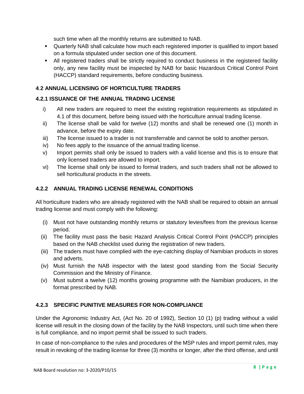such time when all the monthly returns are submitted to NAB.

- Quarterly NAB shall calculate how much each registered importer is qualified to import based on a formula stipulated under section one of this document.
- All registered traders shall be strictly required to conduct business in the registered facility only, any new facility must be inspected by NAB for basic Hazardous Critical Control Point (HACCP) standard requirements, before conducting business.

# <span id="page-7-0"></span>**4***.***2 ANNUAL LICENSING OF HORTICULTURE TRADERS**

## **4.2.1 ISSUANCE OF THE ANNUAL TRADING LICENSE**

- i) All new traders are required to meet the existing registration requirements as stipulated in 4.1 of this document, before being issued with the horticulture annual trading license.
- ii) The license shall be valid for twelve (12) months and shall be renewed one (1) month in advance, before the expiry date.
- iii) The license issued to a trader is not transferrable and cannot be sold to another person.
- iv) No fees apply to the issuance of the annual trading license.
- v) Import permits shall only be issued to traders with a valid license and this is to ensure that only licensed traders are allowed to import.
- vi) The license shall only be issued to formal traders, and such traders shall not be allowed to sell horticultural products in the streets.

# **4.2.2 ANNUAL TRADING LICENSE RENEWAL CONDITIONS**

All horticulture traders who are already registered with the NAB shall be required to obtain an annual trading license and must comply with the following:

- (i) Must not have outstanding monthly returns or statutory levies/fees from the previous license period.
- (ii) The facility must pass the basic Hazard Analysis Critical Control Point (HACCP) principles based on the NAB checklist used during the registration of new traders.
- (iii) The traders must have complied with the eye-catching display of Namibian products in stores and adverts.
- (iv) Must furnish the NAB inspector with the latest good standing from the Social Security Commission and the Ministry of Finance.
- (v) Must submit a twelve (12) months growing programme with the Namibian producers, in the format prescribed by NAB.

## **4.2.3 SPECIFIC PUNITIVE MEASURES FOR NON-COMPLIANCE**

Under the Agronomic Industry Act, (Act No. 20 of 1992), Section 10 (1) (p) trading without a valid license will result in the closing down of the facility by the NAB Inspectors, until such time when there is full compliance, and no import permit shall be issued to such traders.

In case of non-compliance to the rules and procedures of the MSP rules and import permit rules, may result in revoking of the trading license for three (3) months or longer, after the third offense, and until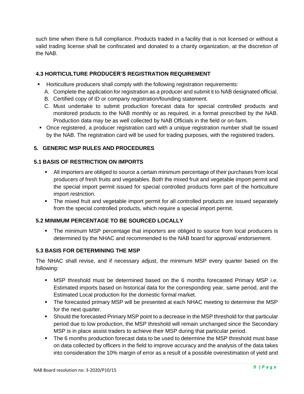such time when there is full compliance. Products traded in a facility that is not licensed or without a valid trading license shall be confiscated and donated to a charity organization, at the discretion of the NAB.

## <span id="page-8-0"></span>**4.3 HORTICULTURE PRODUCER'S REGISTRATION REQUIREMENT**

- Horticulture producers shall comply with the following registration requirements:
	- A. Complete the application for registration as a producer and submit it to NAB designated official.
	- B. Certified copy of ID or company registration/founding statement.
	- C. Must undertake to submit production forecast data for special controlled products and monitored products to the NAB monthly or as required, in a format prescribed by the NAB. Production data may be as well collected by NAB Officials in the field or on-farm.
- Once registered, a producer registration card with a unique registration number shall be issued by the NAB. The registration card will be used for trading purposes, with the registered traders.

# <span id="page-8-1"></span>**5. GENERIC MSP RULES AND PROCEDURES**

## <span id="page-8-2"></span>**5.1 BASIS OF RESTRICTION ON IMPORTS**

- All importers are obliged to source a certain minimum percentage of their purchases from local producers of fresh fruits and vegetables. Both the mixed fruit and vegetable import permit and the special import permit issued for special controlled products form part of the horticulture import restriction.
- **•** The mixed fruit and vegetable import permit for all controlled products are issued separately from the special controlled products, which require a special import permit.

## <span id="page-8-3"></span>**5.2 MINIMUM PERCENTAGE TO BE SOURCED LOCALLY**

▪ The minimum MSP percentage that importers are obliged to source from local producers is determined by the NHAC and recommended to the NAB board for approval/ endorsement.

## <span id="page-8-4"></span>**5.3 BASIS FOR DETERMINING THE MSP**

The NHAC shall revise, and if necessary adjust, the minimum MSP every quarter based on the following:

- **■** MSP threshold must be determined based on the 6 months forecasted Primary MSP i.e. Estimated imports based on historical data for the corresponding year, same period, and the Estimated Local production for the domestic formal market.
- The forecasted primary MSP will be presented at each NHAC meeting to determine the MSP for the next quarter.
- Should the forecasted Primary MSP point to a decrease in the MSP threshold for that particular period due to low production, the MSP threshold will remain unchanged since the Secondary MSP is in place assist traders to achieve their MSP during that particular period.
- **The 6 months production forecast data to be used to determine the MSP threshold must base** on data collected by officers in the field to improve accuracy and the analysis of the data takes into consideration the 10% margin of error as a result of a possible overestimation of yield and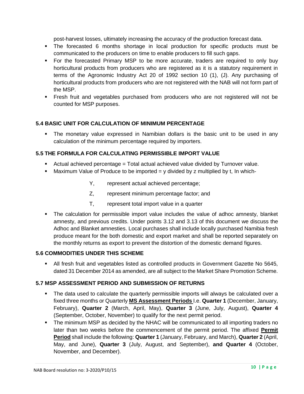post-harvest losses, ultimately increasing the accuracy of the production forecast data.

- The forecasted 6 months shortage in local production for specific products must be communicated to the producers on time to enable producers to fill such gaps.
- For the forecasted Primary MSP to be more accurate, traders are required to only buy horticultural products from producers who are registered as it is a statutory requirement in terms of the Agronomic Industry Act 20 of 1992 section 10 (1), (J). Any purchasing of horticultural products from producers who are not registered with the NAB will not form part of the MSP.
- **•** Fresh fruit and vegetables purchased from producers who are not registered will not be counted for MSP purposes.

#### <span id="page-9-0"></span>**5.4 BASIC UNIT FOR CALCULATION OF MINIMUM PERCENTAGE**

**•** The monetary value expressed in Namibian dollars is the basic unit to be used in any calculation of the minimum percentage required by importers.

#### <span id="page-9-1"></span>**5.5 THE FORMULA FOR CALCULATING PERMISSIBLE IMPORT VALUE**

- Actual achieved percentage = Total actual achieved value divided by Turnover value.
- **■** Maximum Value of Produce to be imported  $=$  y divided by z multiplied by t, In which-
	- Y, represent actual achieved percentage;
	- Z, represent minimum percentage factor; and
	- T, represent total import value in a quarter
- The calculation for permissible import value includes the value of adhoc amnesty, blanket amnesty, and previous credits. Under points 3.12 and 3.13 of this document we discuss the Adhoc and Blanket amnesties. Local purchases shall include locally purchased Namibia fresh produce meant for the both domestic and export market and shall be reported separately on the monthly returns as export to prevent the distortion of the domestic demand figures.

#### <span id="page-9-2"></span>**5.6 COMMODITIES UNDER THIS SCHEME**

▪ All fresh fruit and vegetables listed as controlled products in Government Gazette No 5645, dated 31 December 2014 as amended, are all subject to the Market Share Promotion Scheme.

#### <span id="page-9-3"></span>**5.7 MSP ASSESSMENT PERIOD AND SUBMISSION OF RETURNS**

- The data used to calculate the quarterly permissible imports will always be calculated over a fixed three months or Quarterly **MS Assessment Periods** I.e. **Quarter 1** (December, January, February), **Quarter 2** (March, April, May), **Quarter 3** (June, July, August), **Quarter 4**  (September, October, November) to qualify for the next permit period.
- **•** The minimum MSP as decided by the NHAC will be communicated to all importing traders no later than two weeks before the commencement of the permit period. The affixed **Permit Period** shall include the following: **Quarter 1** (January, February, and March), **Quarter 2** (April, May, and June), **Quarter 3** (July, August, and September), **and Quarter 4** (October, November, and December).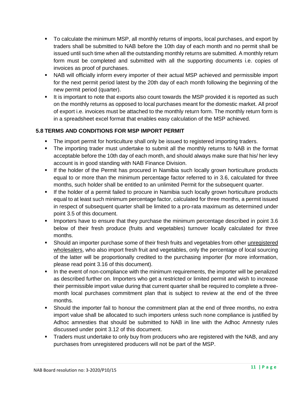- To calculate the minimum MSP, all monthly returns of imports, local purchases, and export by traders shall be submitted to NAB before the 10th day of each month and no permit shall be issued until such time when all the outstanding monthly returns are submitted. A monthly return form must be completed and submitted with all the supporting documents i.e. copies of invoices as proof of purchases.
- NAB will officially inform every importer of their actual MSP achieved and permissible import for the next permit period latest by the 20th day of each month following the beginning of the new permit period (quarter).
- It is important to note that exports also count towards the MSP provided it is reported as such on the monthly returns as opposed to local purchases meant for the domestic market. All proof of export i.e. invoices must be attached to the monthly return form. The monthly return form is in a spreadsheet excel format that enables easy calculation of the MSP achieved.

## <span id="page-10-0"></span>**5.8 TERMS AND CONDITIONS FOR MSP IMPORT PERMIT**

- **•** The import permit for horticulture shall only be issued to registered importing traders.
- The importing trader must undertake to submit all the monthly returns to NAB in the format acceptable before the 10th day of each month, and should always make sure that his/ her levy account is in good standing with NAB Finance Division.
- **.** If the holder of the Permit has procured in Namibia such locally grown horticulture products equal to or more than the minimum percentage factor referred to in 3.6, calculated for three months, such holder shall be entitled to an unlimited Permit for the subsequent quarter.
- **.** If the holder of a permit failed to procure in Namibia such locally grown horticulture products equal to at least such minimum percentage factor, calculated for three months, a permit issued in respect of subsequent quarter shall be limited to a pro-rata maximum as determined under point 3.5 of this document.
- **•** Importers have to ensure that they purchase the minimum percentage described in point 3.6 below of their fresh produce (fruits and vegetables) turnover locally calculated for three months.
- **•** Should an importer purchase some of their fresh fruits and vegetables from other unregistered wholesalers, who also import fresh fruit and vegetables, only the percentage of local sourcing of the latter will be proportionally credited to the purchasing importer (for more information, please read point 3.16 of this document).
- **•** In the event of non-compliance with the minimum requirements, the importer will be penalized as described further on. Importers who get a restricted or limited permit and wish to increase their permissible import value during that current quarter shall be required to complete a threemonth local purchases commitment plan that is subject to review at the end of the three months.
- **•** Should the importer fail to honour the commitment plan at the end of three months, no extra import value shall be allocated to such importers unless such none compliance is justified by Adhoc amnesties that should be submitted to NAB in line with the Adhoc Amnesty rules discussed under point 3.12 of this document.
- **•** Traders must undertake to only buy from producers who are registered with the NAB, and any purchases from unregistered producers will not be part of the MSP.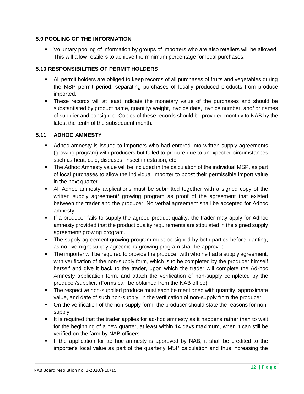#### <span id="page-11-0"></span>**5.9 POOLING OF THE INFORMATION**

▪ Voluntary pooling of information by groups of importers who are also retailers will be allowed. This will allow retailers to achieve the minimum percentage for local purchases.

#### <span id="page-11-1"></span>**5.10 RESPONSIBILITIES OF PERMIT HOLDERS**

- All permit holders are obliged to keep records of all purchases of fruits and vegetables during the MSP permit period, separating purchases of locally produced products from produce imported.
- **.** These records will at least indicate the monetary value of the purchases and should be substantiated by product name, quantity/ weight, invoice date, invoice number, and/ or names of supplier and consignee. Copies of these records should be provided monthly to NAB by the latest the tenth of the subsequent month.

#### <span id="page-11-2"></span>**5.11 ADHOC AMNESTY**

- **•** Adhoc amnesty is issued to importers who had entered into written supply agreements (growing program) with producers but failed to procure due to unexpected circumstances such as heat, cold, diseases, insect infestation, etc.
- The Adhoc Amnesty value will be included in the calculation of the individual MSP, as part of local purchases to allow the individual importer to boost their permissible import value in the next quarter.
- **EXT** All Adhoc amnesty applications must be submitted together with a signed copy of the written supply agreement/ growing program as proof of the agreement that existed between the trader and the producer. No verbal agreement shall be accepted for Adhoc amnesty.
- If a producer fails to supply the agreed product quality, the trader may apply for Adhoc amnesty provided that the product quality requirements are stipulated in the signed supply agreement/ growing program.
- **•** The supply agreement growing program must be signed by both parties before planting, as no overnight supply agreement/ growing program shall be approved.
- **•** The importer will be required to provide the producer with who he had a supply agreement, with verification of the non-supply form, which is to be completed by the producer himself herself and give it back to the trader, upon which the trader will complete the Ad-hoc Amnesty application form, and attach the verification of non-supply completed by the producer/supplier. (Forms can be obtained from the NAB office).
- **•** The respective non-supplied produce must each be mentioned with quantity, approximate value, and date of such non-supply, in the verification of non-supply from the producer.
- **•** On the verification of the non-supply form, the producer should state the reasons for nonsupply.
- **.** It is required that the trader applies for ad-hoc amnesty as it happens rather than to wait for the beginning of a new quarter, at least within 14 days maximum, when it can still be verified on the farm by NAB officers.
- **.** If the application for ad hoc amnesty is approved by NAB, it shall be credited to the importer's local value as part of the quarterly MSP calculation and thus increasing the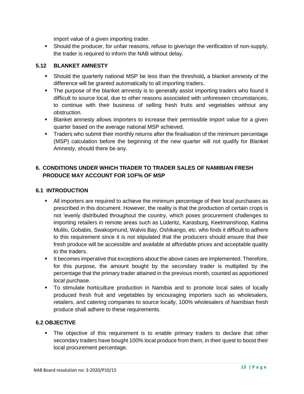import value of a given importing trader.

**EXEDENT Should the producer, for unfair reasons, refuse to give/sign the verification of non-supply,** the trader is required to inform the NAB without delay.

#### <span id="page-12-0"></span>**5.12 BLANKET AMNESTY**

- Should the quarterly national MSP be less than the threshold**,** a blanket amnesty of the difference will be granted automatically to all importing traders.
- The purpose of the blanket amnesty is to generally assist importing traders who found it difficult to source local, due to other reasons associated with unforeseen circumstances, to continue with their business of selling fresh fruits and vegetables without any obstruction.
- Blanket amnesty allows importers to increase their permissible import value for a given quarter based on the average national MSP achieved.
- **Traders who submit their monthly returns after the finalisation of the minimum percentage** (MSP) calculation before the beginning of the new quarter will not qualify for Blanket Amnesty, should there be any.

## <span id="page-12-1"></span>**6. CONDITIONS UNDER WHICH TRADER TO TRADER SALES OF NAMIBIAN FRESH PRODUCE MAY ACCOUNT FOR 1OF% OF MSP**

#### <span id="page-12-2"></span>**6.1 INTRODUCTION**

- **EXECT** All importers are required to achieve the minimum percentage of their local purchases as prescribed in this document. However, the reality is that the production of certain crops is not 'evenly distributed throughout the country, which poses procurement challenges to importing retailers in remote areas such as Lüderitz, Karasburg, Keetmanshoop, Katima Mulilo, Gobabis, Swakopmund, Walvis Bay, Oshikango, etc. who finds it difficult to adhere to this requirement since it is not stipulated that the producers should ensure that their fresh produce will be accessible and available at affordable prices and acceptable quality to the traders.
- It becomes imperative that exceptions about the above cases are implemented. Therefore, for this purpose, the amount bought by the secondary trader is multiplied by the percentage that the primary trader attained in the previous month, counted as apportioned local purchase.
- To stimulate horticulture production in Namibia and to promote local sales of locally produced fresh fruit and vegetables by encouraging importers such as wholesalers, retailers, and catering companies to source locally, 100% wholesalers of Namibian fresh produce shall adhere to these requirements.

## <span id="page-12-3"></span>**6.2 OBJECTIVE**

• The objective of this requirement is to enable primary traders to declare that other secondary traders have bought 100% local produce from them, in their quest to boost their local procurement percentage.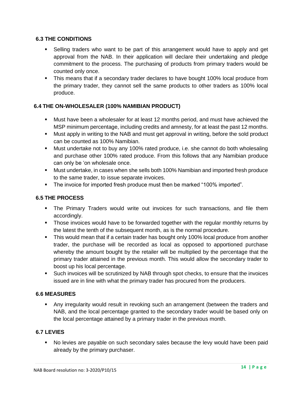#### <span id="page-13-0"></span>**6.3 THE CONDITIONS**

- Selling traders who want to be part of this arrangement would have to apply and get approval from the NAB. In their application will declare their undertaking and pledge commitment to the process. The purchasing of products from primary traders would be counted only once.
- This means that if a secondary trader declares to have bought 100% local produce from the primary trader, they cannot sell the same products to other traders as 100% local produce.

#### <span id="page-13-1"></span>**6.4 THE ON-WHOLESALER (100% NAMIBIAN PRODUCT)**

- Must have been a wholesaler for at least 12 months period, and must have achieved the MSP minimum percentage, including credits and amnesty, for at least the past 12 months.
- Must apply in writing to the NAB and must get approval in writing, before the sold product can be counted as 100% Namibian.
- Must undertake not to buy any 100% rated produce, i.e. she cannot do both wholesaling and purchase other 100% rated produce. From this follows that any Namibian produce can only be 'on wholesale once.
- Must undertake, in cases when she sells both 100% Namibian and imported fresh produce to the same trader, to issue separate invoices.
- The invoice for imported fresh produce must then be marked "100% imported".

## <span id="page-13-2"></span>**6.5 THE PROCESS**

- **•** The Primary Traders would write out invoices for such transactions, and file them accordingly.
- **•** Those invoices would have to be forwarded together with the regular monthly returns by the latest the tenth of the subsequent month, as is the normal procedure.
- **•** This would mean that if a certain trader has bought only 100% local produce from another trader, the purchase will be recorded as local as opposed to apportioned purchase whereby the amount bought by the retailer will be multiplied by the percentage that the primary trader attained in the previous month. This would allow the secondary trader to boost up his local percentage.
- Such invoices will be scrutinized by NAB through spot checks, to ensure that the invoices issued are in line with what the primary trader has procured from the producers.

#### <span id="page-13-3"></span>**6.6 MEASURES**

**•** Any irregularity would result in revoking such an arrangement (between the traders and NAB, and the local percentage granted to the secondary trader would be based only on the local percentage attained by a primary trader in the previous month.

#### <span id="page-13-4"></span>**6.7 LEVIES**

▪ No levies are payable on such secondary sales because the levy would have been paid already by the primary purchaser.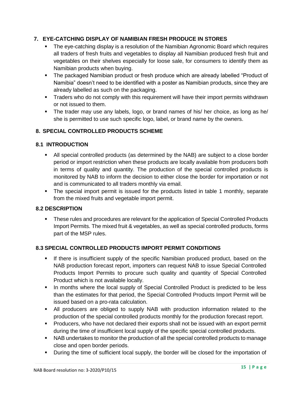## <span id="page-14-0"></span>**7. EYE-CATCHING DISPLAY OF NAMIBIAN FRESH PRODUCE IN STORES**

- The eye-catching display is a resolution of the Namibian Agronomic Board which requires all traders of fresh fruits and vegetables to display all Namibian produced fresh fruit and vegetables on their shelves especially for loose sale, for consumers to identify them as Namibian products when buying.
- **•** The packaged Namibian product or fresh produce which are already labelled "Product of Namibia" doesn't need to be identified with a poster as Namibian products, since they are already labelled as such on the packaging.
- **•** Traders who do not comply with this requirement will have their import permits withdrawn or not issued to them.
- The trader may use any labels, logo, or brand names of his/ her choice, as long as he/ she is permitted to use such specific logo, label, or brand name by the owners.

# <span id="page-14-1"></span>**8. SPECIAL CONTROLLED PRODUCTS SCHEME**

## <span id="page-14-2"></span>**8.1 INTRODUCTION**

- All special controlled products (as determined by the NAB) are subject to a close border period or import restriction when these products are locally available from producers both in terms of quality and quantity. The production of the special controlled products is monitored by NAB to inform the decision to either close the border for importation or not and is communicated to all traders monthly via email.
- The special import permit is issued for the products listed in table 1 monthly, separate from the mixed fruits and vegetable import permit.

#### <span id="page-14-3"></span>**8.2 DESCRIPTION**

**•** These rules and procedures are relevant for the application of Special Controlled Products Import Permits. The mixed fruit & vegetables, as well as special controlled products, forms part of the MSP rules.

## <span id="page-14-4"></span>**8.3 SPECIAL CONTROLLED PRODUCTS IMPORT PERMIT CONDITIONS**

- **.** If there is insufficient supply of the specific Namibian produced product, based on the NAB production forecast report, importers can request NAB to issue Special Controlled Products Import Permits to procure such quality and quantity of Special Controlled Product which is not available locally.
- **■** In months where the local supply of Special Controlled Product is predicted to be less than the estimates for that period, the Special Controlled Products Import Permit will be issued based on a pro-rata calculation.
- All producers are obliged to supply NAB with production information related to the production of the special controlled products monthly for the production forecast report.
- **•** Producers, who have not declared their exports shall not be issued with an export permit during the time of insufficient local supply of the specific special controlled products.
- NAB undertakes to monitor the production of all the special controlled products to manage close and open border periods.
- **•** During the time of sufficient local supply, the border will be closed for the importation of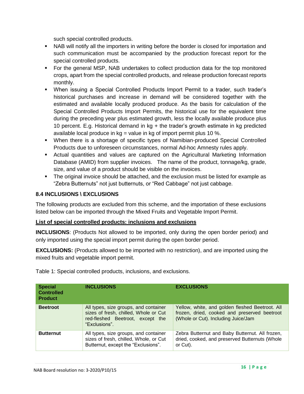such special controlled products.

- NAB will notify all the importers in writing before the border is closed for importation and such communication must be accompanied by the production forecast report for the special controlled products.
- For the general MSP, NAB undertakes to collect production data for the top monitored crops, apart from the special controlled products, and release production forecast reports monthly.
- When issuing a Special Controlled Products Import Permit to a trader, such trader's historical purchases and increase in demand will be considered together with the estimated and available locally produced produce. As the basis for calculation of the Special Controlled Products Import Permits, the historical use for the equivalent time during the preceding year plus estimated growth, less the locally available produce plus 10 percent. E.g. Historical demand in kg + the trader's growth estimate in kg predicted available local produce in  $kg =$  value in kg of import permit plus 10 %.
- When there is a shortage of specific types of Namibian-produced Special Controlled Products due to unforeseen circumstances, normal Ad-hoc Amnesty rules apply.
- **E** Actual quantities and values are captured on the Agricultural Marketing Information Database (AMID) from supplier invoices. The name of the product, tonnage/kg, grade, size, and value of a product should be visible on the invoices.
- **•** The original invoice should be attached, and the exclusion must be listed for example as "Zebra Butternuts" not just butternuts, or "Red Cabbage" not just cabbage.

#### <span id="page-15-0"></span>**8.4 INCLUSIONS \ EXCLUSIONS**

The following products are excluded from this scheme, and the importation of these exclusions listed below can be imported through the Mixed Fruits and Vegetable Import Permit.

#### **List of special controlled products: inclusions and exclusions**

**INCLUSIONS**: (Products Not allowed to be imported, only during the open border period) and only imported using the special import permit during the open border period.

**EXCLUSIONS:** (Products allowed to be imported with no restriction), and are imported using the mixed fruits and vegetable import permit.

| <b>Special</b><br><b>Controlled</b><br><b>Product</b> | <b>INCLUSIONS</b>                                                                                                                   | <b>EXCLUSIONS</b>                                                                                                                      |
|-------------------------------------------------------|-------------------------------------------------------------------------------------------------------------------------------------|----------------------------------------------------------------------------------------------------------------------------------------|
| <b>Beetroot</b>                                       | All types, size groups, and container<br>sizes of fresh, chilled, Whole or Cut<br>red-fleshed Beetroot, except the<br>"Exclusions". | Yellow, white, and golden fleshed Beetroot. All<br>frozen, dried, cooked and preserved beetroot<br>(Whole or Cut). Including Juice/Jam |
| <b>Butternut</b>                                      | All types, size groups, and container<br>sizes of fresh, chilled, Whole, or Cut<br>Butternut, except the "Exclusions".              | Zebra Butternut and Baby Butternut. All frozen,<br>dried, cooked, and preserved Butternuts (Whole<br>or Cut).                          |

Table 1: Special controlled products, inclusions, and exclusions.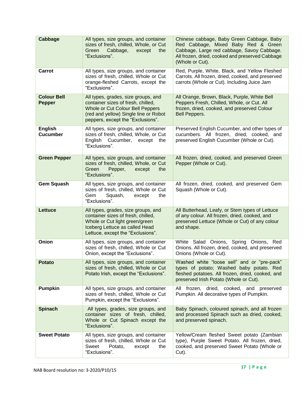| Cabbage                             | All types, size groups, and container<br>sizes of fresh, chilled, Whole, or Cut<br>Green<br>Cabbage,<br>except<br>the<br>"Exclusions".                                                      | Chinese cabbage, Baby Green Cabbage, Baby<br>Red Cabbage, Mixed Baby Red & Green<br>Cabbage, Large red cabbage, Savoy Cabbage.<br>All frozen, dried, cooked and preserved Cabbage<br>(Whole or Cut). |
|-------------------------------------|---------------------------------------------------------------------------------------------------------------------------------------------------------------------------------------------|------------------------------------------------------------------------------------------------------------------------------------------------------------------------------------------------------|
| Carrot                              | All types, size groups, and container<br>sizes of fresh, chilled, Whole or Cut<br>orange-fleshed Carrots, except the<br>"Exclusions".                                                       | Red, Purple, White, Black, and Yellow Fleshed<br>Carrots. All frozen, dried, cooked, and preserved<br>carrots (Whole or Cut). Including Juice Jam                                                    |
| <b>Colour Bell</b><br><b>Pepper</b> | All types, grades, size groups, and<br>container sizes of fresh, chilled,<br>Whole or Cut Colour Bell Peppers<br>(red and yellow) Single line or Robot<br>peppers, except the "Exclusions". | All Orange, Brown, Black, Purple, White Bell<br>Peppers Fresh, Chilled, Whole, or Cut. All<br>frozen, dried, cooked, and preserved Colour<br>Bell Peppers.                                           |
| <b>English</b><br><b>Cucumber</b>   | All types, size groups, and container<br>sizes of fresh, chilled, Whole, or Cut<br>Cucumber, except<br>English<br>the<br>"Exclusions".                                                      | Preserved English Cucumber, and other types of<br>cucumbers. All frozen, dried, cooked, and<br>preserved English Cucumber (Whole or Cut).                                                            |
| <b>Green Pepper</b>                 | All types, size groups, and container<br>sizes of fresh, chilled, Whole, or Cut<br>Green<br>Pepper,<br>the<br>except<br>"Exclusions".                                                       | All frozen, dried, cooked, and preserved Green<br>Pepper (Whole or Cut).                                                                                                                             |
| <b>Gem Squash</b>                   | All types, size groups, and container<br>sizes of fresh, chilled, Whole or Cut<br>Squash,<br>the<br>Gem<br>except<br>"Exclusions".                                                          | All frozen, dried, cooked, and preserved Gem<br>Squash (Whole or Cut).                                                                                                                               |
| <b>Lettuce</b>                      | All types, grades, size groups, and<br>container sizes of fresh, chilled,<br>Whole or Cut light green/green<br>Iceberg Lettuce as called Head<br>Lettuce, except the "Exclusions".          | All Butterhead, Leafy, or Stem types of Lettuce<br>of any colour. All frozen, dried, cooked, and<br>preserved Lettuce (Whole or Cut) of any colour<br>and shape.                                     |
| Onion                               | All types, size groups, and container<br>sizes of fresh, chilled, Whole or Cut<br>Onion, except the "Exclusions".                                                                           | White Salad Onions, Spring<br>Onions, Red<br>Onions. All frozen, dried, cooked, and preserved<br>Onions (Whole or Cut).                                                                              |
| <b>Potato</b>                       | All types, size groups, and container<br>sizes of fresh, chilled, Whole or Cut<br>Potato Irish, except the "Exclusions".                                                                    | Washed white "loose sell" and or "pre-pack"<br>types of potato; Washed baby potato. Red<br>fleshed potatoes. All frozen, dried, cooked, and<br>preserved Irish Potato (Whole or Cut).                |
| <b>Pumpkin</b>                      | All types, size groups, and container<br>sizes of fresh, chilled, Whole or Cut<br>Pumpkin, except the "Exclusions".                                                                         | All frozen, dried, cooked, and preserved<br>Pumpkin. All decorative types of Pumpkin.                                                                                                                |
| <b>Spinach</b>                      | All types, grades, size groups, and<br>container sizes of fresh, chilled,<br>Whole or Cut Spinach except the<br>"Exclusions".                                                               | Baby Spinach, coloured spinach, and all frozen<br>and processed Spinach such as dried, cooked,<br>and preserved spinach.                                                                             |
| <b>Sweet Potato</b>                 | All types, size groups, and container<br>sizes of fresh, chilled, Whole or Cut<br>Potato,<br>Sweet<br>except<br>the<br>"Exclusions".                                                        | Yellow/Cream fleshed Sweet potato (Zambian<br>type), Purple Sweet Potato. All frozen, dried,<br>cooked, and preserved Sweet Potato (Whole or<br>Cut).                                                |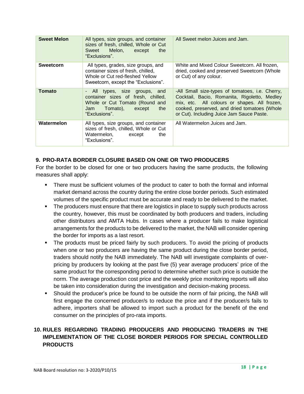| <b>Sweet Melon</b> | All types, size groups, and container<br>sizes of fresh, chilled, Whole or Cut<br>Sweet Melon, except<br>the<br>"Exclusions".                            | All Sweet melon Juices and Jam.                                                                                                                                                                                                              |
|--------------------|----------------------------------------------------------------------------------------------------------------------------------------------------------|----------------------------------------------------------------------------------------------------------------------------------------------------------------------------------------------------------------------------------------------|
| Sweetcorn          | All types, grades, size groups, and<br>container sizes of fresh, chilled,<br>Whole or Cut red-fleshed Yellow<br>Sweetcorn, except the "Exclusions".      | White and Mixed Colour Sweetcorn. All frozen,<br>dried, cooked and preserved Sweetcorn (Whole<br>or Cut) of any colour.                                                                                                                      |
| Tomato             | All types, size groups, and<br>container sizes of fresh, chilled,<br>Whole or Cut Tomato (Round and<br>Tomato),<br>the<br>Jam<br>except<br>"Exclusions". | -All Small size-types of tomatoes, i.e. Cherry,<br>Cocktail, Bacio, Romanita, Rigoletto, Medley<br>mix, etc. All colours or shapes. All frozen,<br>cooked, preserved, and dried tomatoes (Whole<br>or Cut). Including Juice Jam Sauce Paste. |
| Watermelon         | All types, size groups, and container<br>sizes of fresh, chilled, Whole or Cut<br>Watermelon,<br>except<br>the<br>"Exclusions".                          | All Watermelon Juices and Jam.                                                                                                                                                                                                               |

## <span id="page-17-0"></span>**9. PRO-RATA BORDER CLOSURE BASED ON ONE OR TWO PRODUCERS**

For the border to be closed for one or two producers having the same products, the following measures shall apply:

- There must be sufficient volumes of the product to cater to both the formal and informal market demand across the country during the entire close border periods. Such estimated volumes of the specific product must be accurate and ready to be delivered to the market.
- **The producers must ensure that there are logistics in place to supply such products across** the country, however, this must be coordinated by both producers and traders, including other distributors and AMTA Hubs. In cases where a producer fails to make logistical arrangements for the products to be delivered to the market, the NAB will consider opening the border for imports as a last resort.
- The products must be priced fairly by such producers. To avoid the pricing of products when one or two producers are having the same product during the close border period, traders should notify the NAB immediately. The NAB will investigate complaints of overpricing by producers by looking at the past five (5) year average producers' price of the same product for the corresponding period to determine whether such price is outside the norm. The average production cost price and the weekly price monitoring reports will also be taken into consideration during the investigation and decision-making process.
- **•** Should the producer's price be found to be outside the norm of fair pricing, the NAB will first engage the concerned producer/s to reduce the price and if the producer/s fails to adhere, importers shall be allowed to import such a product for the benefit of the end consumer on the principles of pro-rata imports.

# <span id="page-17-1"></span>**10. RULES REGARDING TRADING PRODUCERS AND PRODUCING TRADERS IN THE IMPLEMENTATION OF THE CLOSE BORDER PERIODS FOR SPECIAL CONTROLLED PRODUCTS**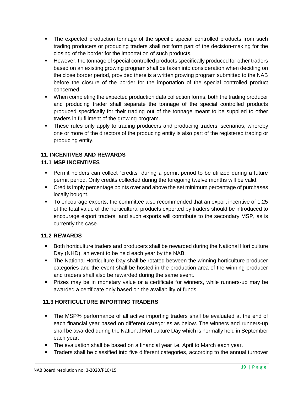- **•** The expected production tonnage of the specific special controlled products from such trading producers or producing traders shall not form part of the decision-making for the closing of the border for the importation of such products.
- **■** However, the tonnage of special controlled products specifically produced for other traders based on an existing growing program shall be taken into consideration when deciding on the close border period, provided there is a written growing program submitted to the NAB before the closure of the border for the importation of the special controlled product concerned.
- When completing the expected production data collection forms, both the trading producer and producing trader shall separate the tonnage of the special controlled products produced specifically for their trading out of the tonnage meant to be supplied to other traders in fulfillment of the growing program.
- **EXT** These rules only apply to trading producers and producing traders' scenarios, whereby one or more of the directors of the producing entity is also part of the registered trading or producing entity.

# <span id="page-18-0"></span>**11. INCENTIVES AND REWARDS**

## <span id="page-18-1"></span>**11.1 MSP INCENTIVES**

- Permit holders can collect "credits" during a permit period to be utilized during a future permit period. Only credits collected during the foregoing twelve months will be valid.
- Credits imply percentage points over and above the set minimum percentage of purchases locally bought.
- To encourage exports, the committee also recommended that an export incentive of 1.25 of the total value of the horticultural products exported by traders should be introduced to encourage export traders, and such exports will contribute to the secondary MSP, as is currently the case.

## <span id="page-18-2"></span>**11.2 REWARDS**

- Both horticulture traders and producers shall be rewarded during the National Horticulture Day (NHD), an event to be held each year by the NAB.
- **•** The National Horticulture Day shall be rotated between the winning horticulture producer categories and the event shall be hosted in the production area of the winning producer and traders shall also be rewarded during the same event.
- **•** Prizes may be in monetary value or a certificate for winners, while runners-up may be awarded a certificate only based on the availability of funds.

## **11.3 HORTICULTURE IMPORTING TRADERS**

- The MSP% performance of all active importing traders shall be evaluated at the end of each financial year based on different categories as below. The winners and runners-up shall be awarded during the National Horticulture Day which is normally held in September each year.
- **The evaluation shall be based on a financial year i.e. April to March each year.**
- **Traders shall be classified into five different categories, according to the annual turnover**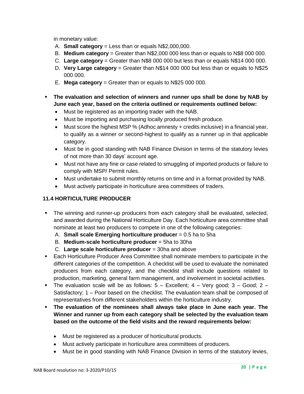in monetary value:

- A. **Small category** = Less than or equals N\$2,000,000.
- B. **Medium category** = Greater than N\$2,000 000 less than or equals to N\$8 000 000.
- C. **Large category** = Greater than N\$8 000 000 but less than or equals N\$14 000 000.
- D. **Very Large category** = Greater than N\$14 000 000 but less than or equals to N\$25 000 000.
- E. **Mega category** = Greater than or equals to N\$25 000 000.
- **The evaluation and selection of winners and runner ups shall be done by NAB by June each year, based on the criteria outlined or requirements outlined below:** 
	- Must be registered as an importing trader with the NAB.
	- Must be importing and purchasing locally produced fresh produce.
	- Must score the highest MSP % (Adhoc amnesty + credits inclusive) in a financial year, to qualify as a winner or second-highest to qualify as a runner up in that applicable category.
	- Must be in good standing with NAB Finance Division in terms of the statutory levies of not more than 30 days' account age.
	- Must not have any fine or case related to smuggling of imported products or failure to comply with MSP/ Permit rules.
	- Must undertake to submit monthly returns on time and in a format provided by NAB.
	- Must actively participate in horticulture area committees of traders.

# **11.4 HORTICULTURE PRODUCER**

- **•** The winning and runner-up producers from each category shall be evaluated, selected, and awarded during the National Horticulture Day. Each horticulture area committee shall nominate at least two producers to compete in one of the following categories:
	- A. **Small scale Emerging horticulture producer** = 0.5 ha to 5ha
	- B. **Medium-scale horticulture producer** = 5ha to 30ha
	- C. **Large scale horticulture producer** = 30ha and above
- **■** Each Horticulture Producer Area Committee shall nominate members to participate in the different categories of the competition. A checklist will be used to evaluate the nominated producers from each category, and the checklist shall include questions related to production, marketing, general farm management, and involvement in societal activities.
- **•** The evaluation scale will be as follows:  $5 -$  Excellent;  $4 -$  Very good;  $3 -$  Good;  $2 -$ Satisfactory; 1 – Poor based on the checklist. The evaluation team shall be composed of representatives from different stakeholders within the horticulture industry.
- **The evaluation of the nominees shall always take place in June each year. The Winner and runner up from each category shall be selected by the evaluation team based on the outcome of the field visits and the reward requirements below:**
	- Must be registered as a producer of horticultural products.
	- Must actively participate in horticulture area committees of producers.
	- Must be in good standing with NAB Finance Division in terms of the statutory levies,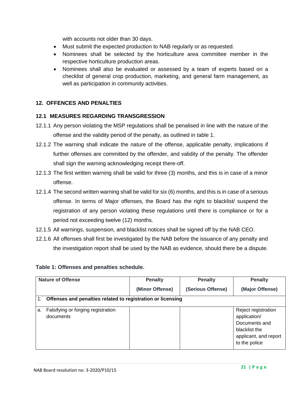with accounts not older than 30 days.

- Must submit the expected production to NAB regularly or as requested.
- Nominees shall be selected by the horticulture area committee member in the respective horticulture production areas.
- Nominees shall also be evaluated or assessed by a team of experts based on a checklist of general crop production, marketing, and general farm management, as well as participation in community activities.

#### <span id="page-20-0"></span>**12. OFFENCES AND PENALTIES**

#### **12.1 MEASURES REGARDING TRANSGRESSION**

- 12.1.1 Any person violating the MSP regulations shall be penalised in line with the nature of the offense and the validity period of the penalty, as outlined in table 1.
- 12.1.2 The warning shall indicate the nature of the offense, applicable penalty, implications if further offenses are committed by the offender, and validity of the penalty. The offender shall sign the warning acknowledging receipt there-off.
- 12.1.3 The first written warning shall be valid for three (3) months, and this is in case of a minor offense.
- 12.1.4 The second written warning shall be valid for six (6) months, and this is in case of a serious offense. In terms of Major offenses, the Board has the right to blacklist/ suspend the registration of any person violating these regulations until there is compliance or for a period not exceeding twelve (12) months.
- 12.1.5 All warnings, suspension, and blacklist notices shall be signed off by the NAB CEO.
- 12.1.6 All offenses shall first be investigated by the NAB before the issuance of any penalty and the investigation report shall be used by the NAB as evidence, should there be a dispute.

#### **Table 1: Offenses and penalties schedule.**

|    | <b>Nature of Offense</b>                                    | <b>Penalty</b>  | <b>Penalty</b>    | <b>Penalty</b>                                                                                                  |
|----|-------------------------------------------------------------|-----------------|-------------------|-----------------------------------------------------------------------------------------------------------------|
|    |                                                             | (Minor Offense) | (Serious Offense) | (Major Offense)                                                                                                 |
|    | Offenses and penalties related to registration or licensing |                 |                   |                                                                                                                 |
| a. | Falsifying or forging registration<br>documents             |                 |                   | Reject registration<br>application/<br>Documents and<br>blacklist the<br>applicant, and report<br>to the police |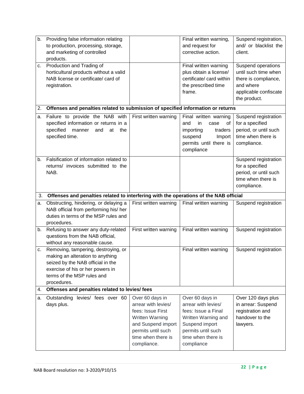| b. | Providing false information relating                                                  |                                   | Final written warning,           | Suspend registration, |
|----|---------------------------------------------------------------------------------------|-----------------------------------|----------------------------------|-----------------------|
|    | to production, processing, storage,                                                   |                                   | and request for                  | and/ or blacklist the |
|    | and marketing of controlled                                                           |                                   | corrective action.               | client.               |
|    | products.                                                                             |                                   |                                  |                       |
| c. | Production and Trading of                                                             |                                   | Final written warning            | Suspend operations    |
|    | horticultural products without a valid                                                |                                   | plus obtain a license/           | until such time when  |
|    | NAB license or certificate/ card of                                                   |                                   | certificate/ card within         | there is compliance,  |
|    | registration.                                                                         |                                   | the prescribed time              | and where             |
|    |                                                                                       |                                   | frame.                           | applicable confiscate |
|    |                                                                                       |                                   |                                  | the product.          |
| 2. | Offenses and penalties related to submission of specified information or returns      |                                   |                                  |                       |
| a. | Failure to provide the NAB with                                                       | First written warning             | Final written warning            | Suspend registration  |
|    | specified information or returns in a                                                 |                                   | and<br>in<br>case<br>οf          | for a specified       |
|    | specified<br>manner<br>and<br>at<br>the                                               |                                   | importing<br>traders             | period, or until such |
|    | specified time.                                                                       |                                   | suspend<br>Import                | time when there is    |
|    |                                                                                       |                                   | permits until there is           | compliance.           |
|    |                                                                                       |                                   | compliance                       |                       |
| b. | Falsification of information related to                                               |                                   |                                  | Suspend registration  |
|    | returns/ invoices submitted to the                                                    |                                   |                                  | for a specified       |
|    | NAB.                                                                                  |                                   |                                  | period, or until such |
|    |                                                                                       |                                   |                                  | time when there is    |
|    |                                                                                       |                                   |                                  | compliance.           |
|    |                                                                                       |                                   |                                  |                       |
| 3. | Offenses and penalties related to interfering with the operations of the NAB official |                                   |                                  |                       |
| а. | Obstructing, hindering, or delaying a                                                 | First written warning             | Final written warning            | Suspend registration  |
|    | NAB official from performing his/ her                                                 |                                   |                                  |                       |
|    | duties in terms of the MSP rules and                                                  |                                   |                                  |                       |
|    | procedures.                                                                           |                                   |                                  |                       |
| b. | Refusing to answer any duty-related                                                   | First written warning             | Final written warning            | Suspend registration  |
|    | questions from the NAB official,                                                      |                                   |                                  |                       |
|    | without any reasonable cause.                                                         |                                   |                                  |                       |
| c. | Removing, tampering, destroying, or                                                   |                                   | Final written warning            | Suspend registration  |
|    | making an alteration to anything                                                      |                                   |                                  |                       |
|    | seized by the NAB official in the                                                     |                                   |                                  |                       |
|    | exercise of his or her powers in                                                      |                                   |                                  |                       |
|    | terms of the MSP rules and                                                            |                                   |                                  |                       |
| 4. | procedures.<br>Offenses and penalties related to levies/ fees                         |                                   |                                  |                       |
|    |                                                                                       |                                   |                                  |                       |
| а. | Outstanding levies/ fees over 60                                                      | Over 60 days in                   | Over 60 days in                  | Over 120 days plus    |
|    | days plus.                                                                            | arrear with levies/               | arrear with levies/              | in arrear: Suspend    |
|    |                                                                                       | fees: Issue First                 | fees: Issue a Final              | registration and      |
|    |                                                                                       | Written Warning                   | Written Warning and              | handover to the       |
|    |                                                                                       |                                   |                                  |                       |
|    |                                                                                       | and Suspend import                | Suspend import                   | lawyers.              |
|    |                                                                                       | permits until such                | permits until such               |                       |
|    |                                                                                       | time when there is<br>compliance. | time when there is<br>compliance |                       |